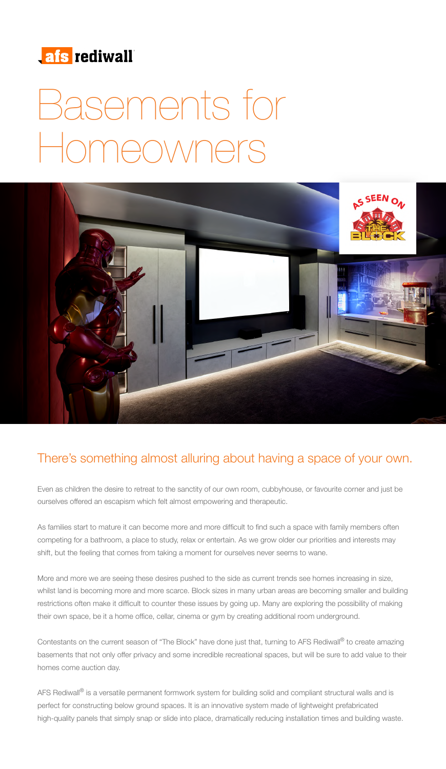

# Basements for Homeowners



## There's something almost alluring about having a space of your own.

Even as children the desire to retreat to the sanctity of our own room, cubbyhouse, or favourite corner and just be ourselves offered an escapism which felt almost empowering and therapeutic.

As families start to mature it can become more and more difficult to find such a space with family members often competing for a bathroom, a place to study, relax or entertain. As we grow older our priorities and interests may shift, but the feeling that comes from taking a moment for ourselves never seems to wane.

More and more we are seeing these desires pushed to the side as current trends see homes increasing in size, whilst land is becoming more and more scarce. Block sizes in many urban areas are becoming smaller and building restrictions often make it difficult to counter these issues by going up. Many are exploring the possibility of making their own space, be it a home office, cellar, cinema or gym by creating additional room underground.

Contestants on the current season of "The Block" have done just that, turning to AFS Rediwall® to create amazing basements that not only offer privacy and some incredible recreational spaces, but will be sure to add value to their homes come auction day.

AFS Rediwall<sup>®</sup> is a versatile permanent formwork system for building solid and compliant structural walls and is perfect for constructing below ground spaces. It is an innovative system made of lightweight prefabricated high-quality panels that simply snap or slide into place, dramatically reducing installation times and building waste.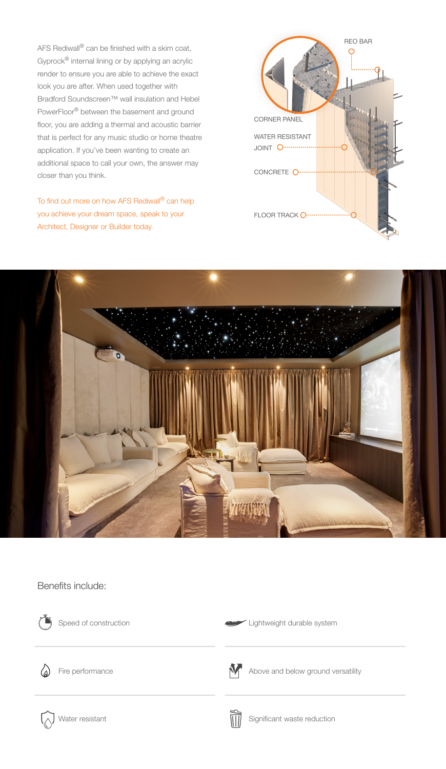AFS Rediwall® can be finished with a skim coat, Gyprock® internal lining or by applying an acrylic render to ensure you are able to achieve the exact look you are after. When used together with Bradford Soundscreen™ wall insulation and Hebel PowerFloor® between the basement and ground floor, you are adding a thermal and acoustic barrier that is perfect for any music studio or home theatre application. If you've been wanting to create an additional space to call your own, the answer may closer than you think.

To find out more on how AFS Rediwall® can help you achieve your dream space, speak to your Architect, Designer or Builder today.





### Benefits include:



Speed of construction

Lightweight durable system



Fire performance



Above and below ground versatility



Significant waste reduction